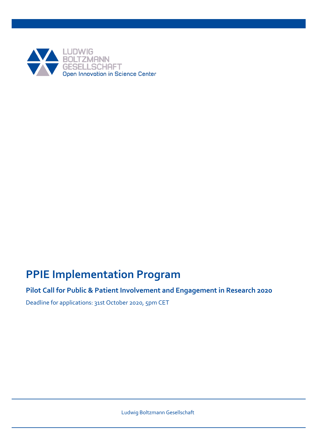

# **PPIE Implementation Program**

## **Pilot Call for Public & Patient Involvement and Engagement in Research 2020**

Deadline for applications: 31st October 2020, 5pm CET

Ludwig Boltzmann Gesellschaft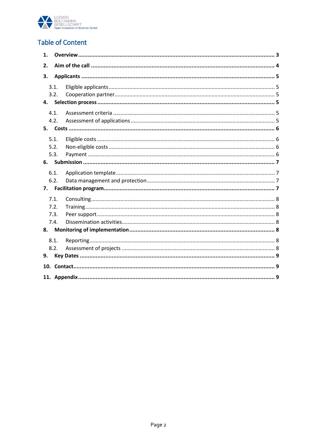

# **Table of Content**

| 1. |      |  |  |  |  |
|----|------|--|--|--|--|
| 2. |      |  |  |  |  |
| З. |      |  |  |  |  |
|    | 3.1. |  |  |  |  |
|    | 3.2. |  |  |  |  |
| 4. |      |  |  |  |  |
|    | 4.1. |  |  |  |  |
|    | 4.2. |  |  |  |  |
|    |      |  |  |  |  |
|    | 5.1. |  |  |  |  |
|    | 5.2. |  |  |  |  |
|    | 5.3. |  |  |  |  |
|    |      |  |  |  |  |
|    | 6.1. |  |  |  |  |
|    | 6.2. |  |  |  |  |
| 7. |      |  |  |  |  |
|    | 7.1. |  |  |  |  |
|    | 7.2. |  |  |  |  |
|    | 7.3. |  |  |  |  |
|    | 7.4. |  |  |  |  |
| 8. |      |  |  |  |  |
|    | 8.1. |  |  |  |  |
|    | 8.2. |  |  |  |  |
| 9. |      |  |  |  |  |
|    |      |  |  |  |  |
|    |      |  |  |  |  |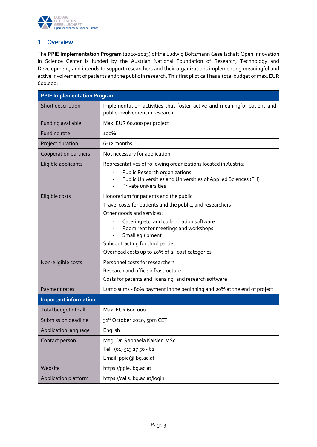

### <span id="page-2-0"></span>1. Overview

The **PPIE Implementation Program** (2020-2023) of the Ludwig Boltzmann Gesellschaft Open Innovation in Science Center is funded by the Austrian National Foundation of Research, Technology and Development, and intends to support researchers and their organizations implementing meaningful and active involvement of patients and the public in research. This first pilot call has a total budget of max. EUR 600.000.

| <b>PPIE Implementation Program</b> |                                                                                                                                                                                                                                                                                                                                |  |  |  |  |
|------------------------------------|--------------------------------------------------------------------------------------------------------------------------------------------------------------------------------------------------------------------------------------------------------------------------------------------------------------------------------|--|--|--|--|
| Short description                  | Implementation activities that foster active and meaningful patient and<br>public involvement in research.                                                                                                                                                                                                                     |  |  |  |  |
| Funding available                  | Max. EUR 60.000 per project                                                                                                                                                                                                                                                                                                    |  |  |  |  |
| Funding rate                       | 100%                                                                                                                                                                                                                                                                                                                           |  |  |  |  |
| Project duration                   | 6-12 months                                                                                                                                                                                                                                                                                                                    |  |  |  |  |
| Cooperation partners               | Not necessary for application                                                                                                                                                                                                                                                                                                  |  |  |  |  |
| Eligible applicants                | Representatives of following organizations located in Austria:<br>Public Research organizations<br>Public Universities and Universities of Applied Sciences (FH)<br>Private universities                                                                                                                                       |  |  |  |  |
| Eligible costs                     | Honorarium for patients and the public<br>Travel costs for patients and the public, and researchers<br>Other goods and services:<br>Catering etc. and collaboration software<br>Room rent for meetings and workshops<br>Small equipment<br>Subcontracting for third parties<br>Overhead costs up to 20% of all cost categories |  |  |  |  |
| Non-eligible costs                 | Personnel costs for researchers<br>Research and office infrastructure<br>Costs for patents and licensing, and research software                                                                                                                                                                                                |  |  |  |  |
| Payment rates                      | Lump sums - 80% payment in the beginning and 20% at the end of project                                                                                                                                                                                                                                                         |  |  |  |  |
| <b>Important information</b>       |                                                                                                                                                                                                                                                                                                                                |  |  |  |  |
| Total budget of call               | Max. EUR 600.000                                                                                                                                                                                                                                                                                                               |  |  |  |  |
| Submission deadline                | 31st October 2020, 5pm CET                                                                                                                                                                                                                                                                                                     |  |  |  |  |
| Application language               | English                                                                                                                                                                                                                                                                                                                        |  |  |  |  |
| Contact person                     | Mag. Dr. Raphaela Kaisler, MSc<br>Tel: (01) 513 27 50 - 62<br>Email: ppie@lbg.ac.at                                                                                                                                                                                                                                            |  |  |  |  |
| Website                            | https://ppie.lbg.ac.at                                                                                                                                                                                                                                                                                                         |  |  |  |  |
| Application platform               | https://calls.lbg.ac.at/login                                                                                                                                                                                                                                                                                                  |  |  |  |  |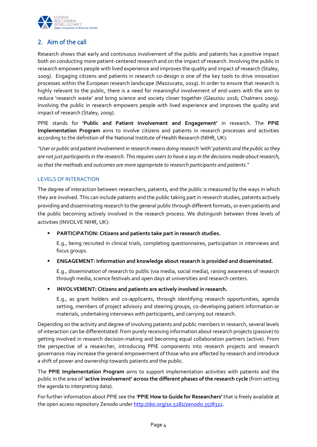

### <span id="page-3-0"></span>2. Aim of the call

Research shows that early and continuous involvement of the public and patients has a positive impact both on conducting more patient-centered research and on the impact of research. Involving the public in research empowers people with lived experience and improves the quality and impact of research (Staley, 2009). Engaging citizens and patients in research co-design is one of the key tools to drive innovation processes within the European research landscape (Mazzucato, 2019). In order to ensure that research is highly relevant to the public, there is a need for meaningful involvement of end-users with the aim to reduce 'research waste' and bring science and society closer together (Glasziou 2016; Chalmers 2009). Involving the public in research empowers people with lived experience and improves the quality and impact of research (Staley, 2009).

PPIE stands for **'Public and Patient Involvement and Engagement'** in research. The **PPIE Implementation Program** aims to involve citizens and patients in research processes and activities according to the definition of the National Institute of Health Research (NIHR, UK):

*"User or public and patient involvement in research means doing research 'with' patients and the public so they are not just participants in the research. This requires users to have a say in the decisions made about research, so that the methods and outcomes are more appropriate to research participants and patients*."

### LEVELS OF INTERACTION

The degree of interaction between researchers, patients, and the public is measured by the ways in which they are involved. This can include patients and the public taking part in research studies, patients actively providing and disseminating research to the general public through different formats, or even patients and the public becoming actively involved in the research process. We distinguish between three levels of activities (INVOLVE NIHR, UK):

**PARTICIPATION: Citizens and patients take part in research studies.** 

E.g., being recruited in clinical trials, completing questionnaires, participation in interviews and focus groups.

### **ENGAGEMENT: Information and knowledge about research is provided and disseminated.**

E.g., dissemination of research to public (via media, social media), raising awareness of research through media, science festivals and open days at universities and research centers.

**INVOLVEMENT: Citizens and patients are actively involved in research.**

E.g., as grant holders and co-applicants, through identifying research opportunities, agenda setting, members of project advisory and steering groups, co-developing patient information or materials, undertaking interviews with participants, and carrying out research.

Depending on the activity and degree of involving patients and public members in research, several levels of interaction can be differentiated: from purely receiving information about research projects (passive) to getting involved in research decision-making and becoming equal collaboration partners (active). From the perspective of a researcher, introducing PPIE components into research projects and research governance may increase the general empowerment of those who are affected by research and introduce a shift of power and ownership towards patients and the public.

The **PPIE Implementation Program** aims to support implementation activities with patients and the public in the area of '**active involvement' across the different phases of the research cycle** (from setting the agenda to interpreting data).

For further information about PPIE see the '**PPIE How to Guide for Researchers'** that is freely available at the open access repository Zenodo unde[r http://doi.org/10.5281/zenodo.3578321.](http://doi.org/10.5281/zenodo.3578321)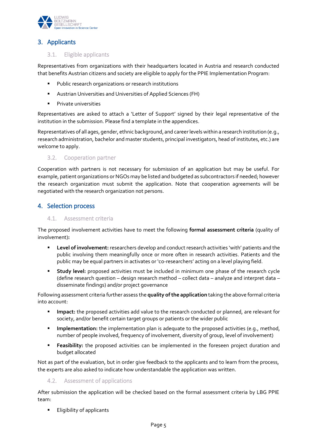

### <span id="page-4-0"></span>3. Applicants

### <span id="page-4-1"></span>3.1. Eligible applicants

Representatives from organizations with their headquarters located in Austria and research conducted that benefits Austrian citizens and society are eligible to apply for the PPIE Implementation Program:

- Public research organizations or research institutions
- Austrian Universities and Universities of Applied Sciences (FH)
- **Private universities**

Representatives are asked to attach a 'Letter of Support' signed by their legal representative of the institution in the submission. Please find a template in the appendices.

Representatives of all ages, gender, ethnic background, and career levels within a research institution (e.g., research administration, bachelor and master students, principal investigators, head of institutes, etc.) are welcome to apply.

#### <span id="page-4-2"></span>3.2. Cooperation partner

Cooperation with partners is not necessary for submission of an application but may be useful. For example, patient organizations or NGOs may be listed and budgeted as subcontractors if needed; however the research organization must submit the application. Note that cooperation agreements will be negotiated with the research organization not persons.

### <span id="page-4-3"></span>4. Selection process

#### <span id="page-4-4"></span>4.1. Assessment criteria

The proposed involvement activities have to meet the following **formal assessment criteria** (quality of involvement)**:**

- **Level of involvement:** researchers develop and conduct research activities 'with' patients and the public involving them meaningfully once or more often in research activities. Patients and the public may be equal partners in activates or 'co-researchers' acting on a level playing field.
- **Study level:** proposed activities must be included in minimum one phase of the research cycle (define research question – design research method – collect data – analyze and interpret data – disseminate findings) and/or project governance

Following assessment criteria further assess the **quality of the application** taking the above formal criteria into account:

- **Impact:** the proposed activities add value to the research conducted or planned, are relevant for society, and/or benefit certain target groups or patients or the wider public
- **Implementation:** the implementation plan is adequate to the proposed activities (e.g., method, number of people involved, frequency of involvement, diversity of group, level of involvement)
- **Feasibility:** the proposed activities can be implemented in the foreseen project duration and budget allocated

Not as part of the evaluation, but in order give feedback to the applicants and to learn from the process, the experts are also asked to indicate how understandable the application was written.

#### <span id="page-4-5"></span>4.2. Assessment of applications

After submission the application will be checked based on the formal assessment criteria by LBG PPIE team:

**Eligibility of applicants**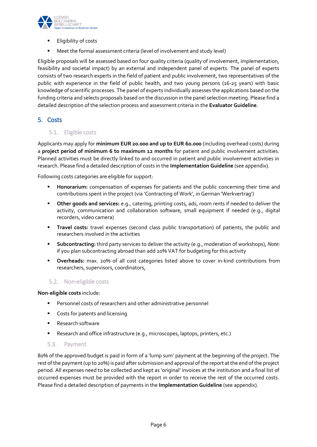

- Eligibility of costs
- Meet the formal assessment criteria (level of involvement and study level)

Eligible proposals will be assessed based on four quality criteria (quality of involvement, implementation, feasibility and societal impact) by an external and independent panel of experts. The panel of experts consists of two research experts in the field of patient and public involvement, two representatives of the public with experience in the field of public health, and two young persons (16-25 years) with basic knowledge of scientific processes. The panel of experts individually assesses the applications based on the funding criteria and selects proposals based on the discussion in the panel selection meeting. Please find a detailed description of the selection process and assessment criteria in the **Evaluator Guideline**.

### <span id="page-5-0"></span>5. Costs

<span id="page-5-1"></span>5.1. Eligible costs

Applicants may apply for **minimum EUR 20.000 and up to EUR 60.000** (including overhead costs) during a **project period of minimum 6 to maximum 12 months** for patient and public involvement activities. Planned activities must be directly linked to and occurred in patient and public involvement activities in research. Please find a detailed description of costs in the **Implementation Guideline** (see appendix).

Following costs categories are eligible for support:

- **Honorarium:** compensation of expenses for patients and the public concerning their time and contributions spent in the project (via 'Contracting of Work', in German 'Werkvertrag')
- **Other goods and services:** e.g., catering, printing costs, ads, room rents if needed to deliver the activity, communication and collaboration software, small equipment if needed (e.g., digital recorders, video camera)
- **Travel costs:** travel expenses (second class public transportation) of patients, the public and researchers involved in the activities
- **Subcontracting:** third party services to deliver the activity (e.g., moderation of workshops), *Note:* if you plan subcontracting abroad than add 20% VAT for budgeting for this activity
- **Overheads:** max. 20% of all cost categories listed above to cover in-kind contributions from researchers, supervisors, coordinators,

### <span id="page-5-2"></span>5.2. Non-eligible costs

#### **Non-eligible costs** include:

- **Personnel costs of researchers and other administrative personnel**
- **Costs for patents and licensing**
- **Research software**
- **Research and office infrastructure (e.g., microscopes, laptops, printers, etc.)**

### <span id="page-5-3"></span>5.3. Payment

80% of the approved budget is paid in form of a 'lump sum' payment at the beginning of the project. The rest ofthe payment (up to 20%) is paid after submission and approval of the report at the end of the project period. All expenses need to be collected and kept as 'original' invoices at the institution and a final list of occurred expenses must be provided with the report in order to receive the rest of the occurred costs. Please find a detailed description of payments in the **Implementation Guideline** (see appendix).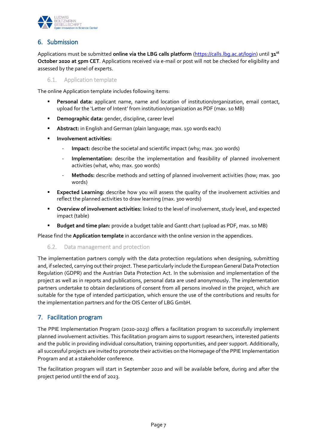

### <span id="page-6-0"></span>6. Submission

Applications must be submitted **online via the LBG calls platform** [\(https://calls.lbg.ac.at/login\)](https://calls.lbg.ac.at/login) until **31 st October 2020 at 5pm CET**. Applications received via e-mail or post will not be checked for eligibility and assessed by the panel of experts.

<span id="page-6-1"></span>6.1. Application template

The online Application template includes following items:

- **Personal data:** applicant name, name and location of institution/organization, email contact, upload for the 'Letter of Intent' from institution/organization as PDF (max. 10 MB)
- **Demographic data:** gender, discipline, career level
- **Abstract:** in English and German (plain language; max. 150 words each)
- **Involvement activities:**
	- **Impact:** describe the societal and scientific impact (why; max. 300 words)
	- Implementation: describe the implementation and feasibility of planned involvement activities (what, who; max. 500 words)
	- **Methods:** describe methods and setting of planned involvement activities (how; max. 300 words)
- **Expected Learning:** describe how you will assess the quality of the involvement activities and reflect the planned activities to draw learning (max. 300 words)
- **Overview of involvement activities:** linked to the level of involvement, study level, and expected impact (table)
- **Budget and time plan:** provide a budget table and Gantt chart (upload as PDF, max. 10 MB)

<span id="page-6-2"></span>Please find the **Application template** in accordance with the online version in the appendices.

### 6.2. Data management and protection

The implementation partners comply with the data protection regulations when designing, submitting and, if selected, carrying out their project. These particularly include the European General Data Protection Regulation (GDPR) and the Austrian Data Protection Act. In the submission and implementation of the project as well as in reports and publications, personal data are used anonymously. The implementation partners undertake to obtain declarations of consent from all persons involved in the project, which are suitable for the type of intended participation, which ensure the use of the contributions and results for the implementation partners and for the OIS Center of LBG GmbH.

### <span id="page-6-3"></span>7. Facilitation program

The PPIE Implementation Program (2020-2023) offers a facilitation program to successfully implement planned involvement activities. This facilitation program aims to support researchers, interested patients and the public in providing individual consultation, training opportunities, and peer support. Additionally, all successful projects are invited to promote their activities on the Homepage of the PPIE Implementation Program and at a stakeholder conference.

The facilitation program will start in September 2020 and will be available before, during and after the project period until the end of 2023.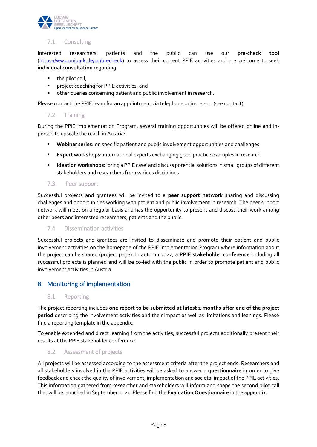

### <span id="page-7-0"></span>7.1. Consulting

Interested researchers, patients and the public can use our **pre-check tool** [\(https://ww2.unipark.de/uc/precheck\)](https://ww2.unipark.de/uc/precheck) to assess their current PPIE activities and are welcome to seek **individual consultation** regarding

- the pilot call,
- **Philter 2** project coaching for PPIE activities, and
- other queries concerning patient and public involvement in research.

<span id="page-7-1"></span>Please contact the PPIE team for an appointment via telephone or in-person (see contact).

#### 7.2. Training

During the PPIE Implementation Program, several training opportunities will be offered online and inperson to upscale the reach in Austria:

- **Webinar series:** on specific patient and public involvement opportunities and challenges
- **Expert workshops:** international experts exchanging good practice examples in research
- **Ideation workshops:** 'bring a PPIE case' and discuss potential solutions in small groups of different stakeholders and researchers from various disciplines

#### <span id="page-7-2"></span>7.3. Peer support

Successful projects and grantees will be invited to a **peer support network** sharing and discussing challenges and opportunities working with patient and public involvement in research. The peer support network will meet on a regular basis and has the opportunity to present and discuss their work among other peers and interested researchers, patients and the public.

### <span id="page-7-3"></span>7.4. Dissemination activities

Successful projects and grantees are invited to disseminate and promote their patient and public involvement activities on the homepage of the PPIE Implementation Program where information about the project can be shared (project page). In autumn 2022, a **PPIE stakeholder conference** including all successful projects is planned and will be co-led with the public in order to promote patient and public involvement activities in Austria.

### <span id="page-7-4"></span>8. Monitoring of implementation

#### <span id="page-7-5"></span>8.1. Reporting

The project reporting includes **one report to be submitted at latest 2 months after end of the project period** describing the involvement activities and their impact as well as limitations and leanings. Please find a reporting template in the appendix.

To enable extended and direct learning from the activities, successful projects additionally present their results at the PPIE stakeholder conference.

### <span id="page-7-6"></span>8.2. Assessment of projects

All projects will be assessed according to the assessment criteria after the project ends. Researchers and all stakeholders involved in the PPIE activities will be asked to answer a **questionnaire** in order to give feedback and check the quality of involvement, implementation and societal impact of the PPIE activities. This information gathered from researcher and stakeholders will inform and shape the second pilot call that will be launched in September 2021. Please find the **Evaluation Questionnaire** in the appendix.